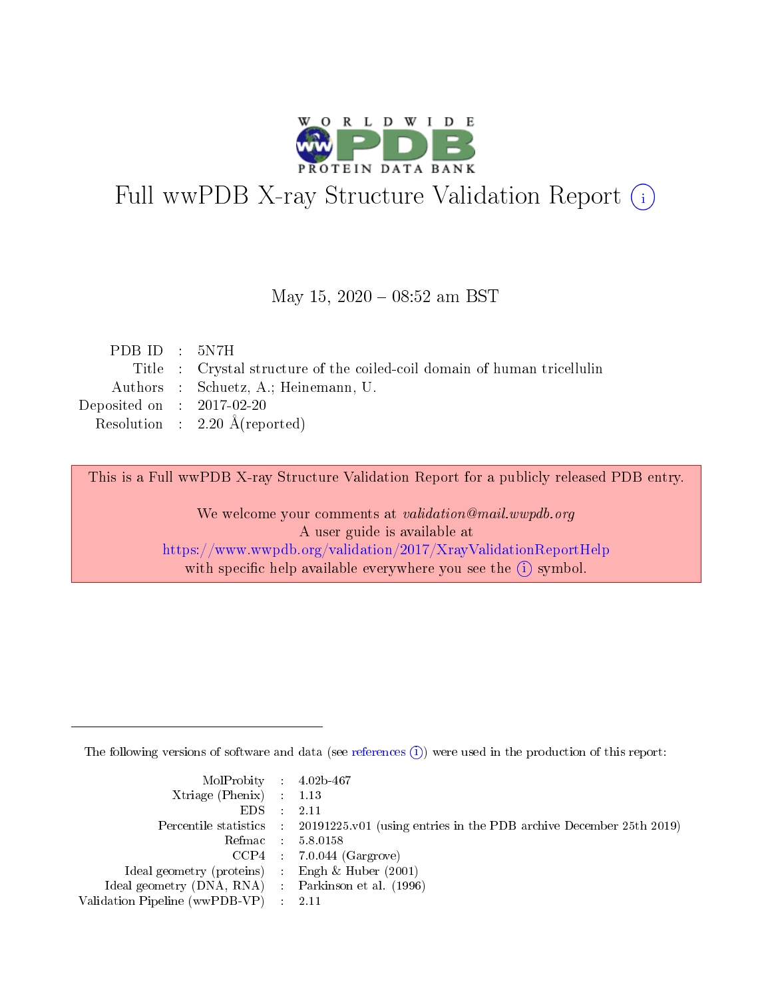

# Full wwPDB X-ray Structure Validation Report (i)

#### May 15,  $2020 - 08:52$  am BST

| PDBID : 5N7H                |                                                                          |
|-----------------------------|--------------------------------------------------------------------------|
|                             | Title : Crystal structure of the coiled-coil domain of human tricellulin |
|                             | Authors : Schuetz, A.; Heinemann, U.                                     |
| Deposited on : $2017-02-20$ |                                                                          |
|                             | Resolution : $2.20 \text{ Å}$ (reported)                                 |
|                             |                                                                          |

This is a Full wwPDB X-ray Structure Validation Report for a publicly released PDB entry.

We welcome your comments at validation@mail.wwpdb.org A user guide is available at <https://www.wwpdb.org/validation/2017/XrayValidationReportHelp> with specific help available everywhere you see the  $(i)$  symbol.

The following versions of software and data (see [references](https://www.wwpdb.org/validation/2017/XrayValidationReportHelp#references)  $(i)$ ) were used in the production of this report:

| MolProbity : 4.02b-467                              |                                                                                            |
|-----------------------------------------------------|--------------------------------------------------------------------------------------------|
| $Xtriangle (Phenix)$ : 1.13                         |                                                                                            |
| $EDS = 2.11$                                        |                                                                                            |
|                                                     | Percentile statistics : 20191225.v01 (using entries in the PDB archive December 25th 2019) |
|                                                     | Refmac : 5.8.0158                                                                          |
|                                                     | $CCP4$ : 7.0.044 (Gargrove)                                                                |
| Ideal geometry (proteins) : Engh $\&$ Huber (2001)  |                                                                                            |
| Ideal geometry (DNA, RNA) : Parkinson et al. (1996) |                                                                                            |
| Validation Pipeline (wwPDB-VP) : 2.11               |                                                                                            |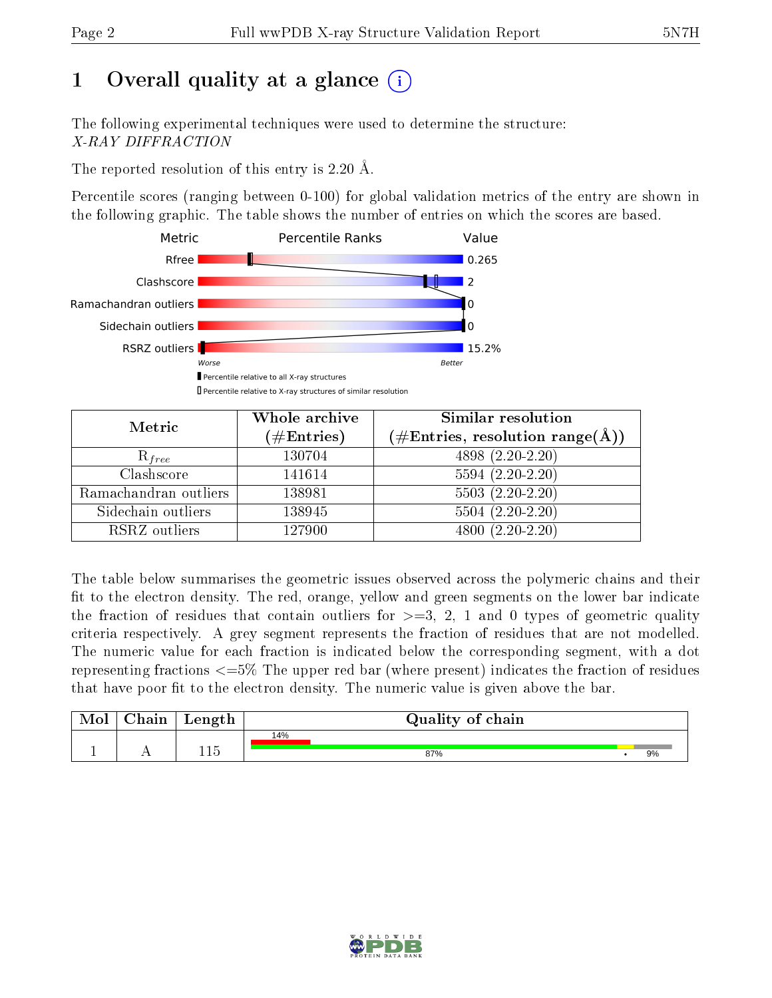# 1 [O](https://www.wwpdb.org/validation/2017/XrayValidationReportHelp#overall_quality)verall quality at a glance  $(i)$

The following experimental techniques were used to determine the structure: X-RAY DIFFRACTION

The reported resolution of this entry is 2.20 Å.

Percentile scores (ranging between 0-100) for global validation metrics of the entry are shown in the following graphic. The table shows the number of entries on which the scores are based.



| Metric                | Whole archive<br>$(\#\mathrm{Entries})$ | Similar resolution<br>$(\#\text{Entries},\,\text{resolution}\,\,\text{range}(\textup{\AA}))$ |  |  |
|-----------------------|-----------------------------------------|----------------------------------------------------------------------------------------------|--|--|
| $R_{free}$            | 130704                                  | 4898 (2.20-2.20)                                                                             |  |  |
| Clashscore            | 141614                                  | $5594(2.20-2.20)$                                                                            |  |  |
| Ramachandran outliers | 138981                                  | $5503(2.20-2.20)$                                                                            |  |  |
| Sidechain outliers    | 138945                                  | $5504(2.20-2.20)$                                                                            |  |  |
| RSRZ outliers         | 127900                                  | $4800(2.20-2.20)$                                                                            |  |  |

The table below summarises the geometric issues observed across the polymeric chains and their fit to the electron density. The red, orange, yellow and green segments on the lower bar indicate the fraction of residues that contain outliers for  $>=3, 2, 1$  and 0 types of geometric quality criteria respectively. A grey segment represents the fraction of residues that are not modelled. The numeric value for each fraction is indicated below the corresponding segment, with a dot representing fractions  $\epsilon=5\%$  The upper red bar (where present) indicates the fraction of residues that have poor fit to the electron density. The numeric value is given above the bar.

| Mol       | $\alpha$ hain | Length | Quality of chain |    |
|-----------|---------------|--------|------------------|----|
| <u>д.</u> | . .           | 115    | 14%<br>87%       | 9% |

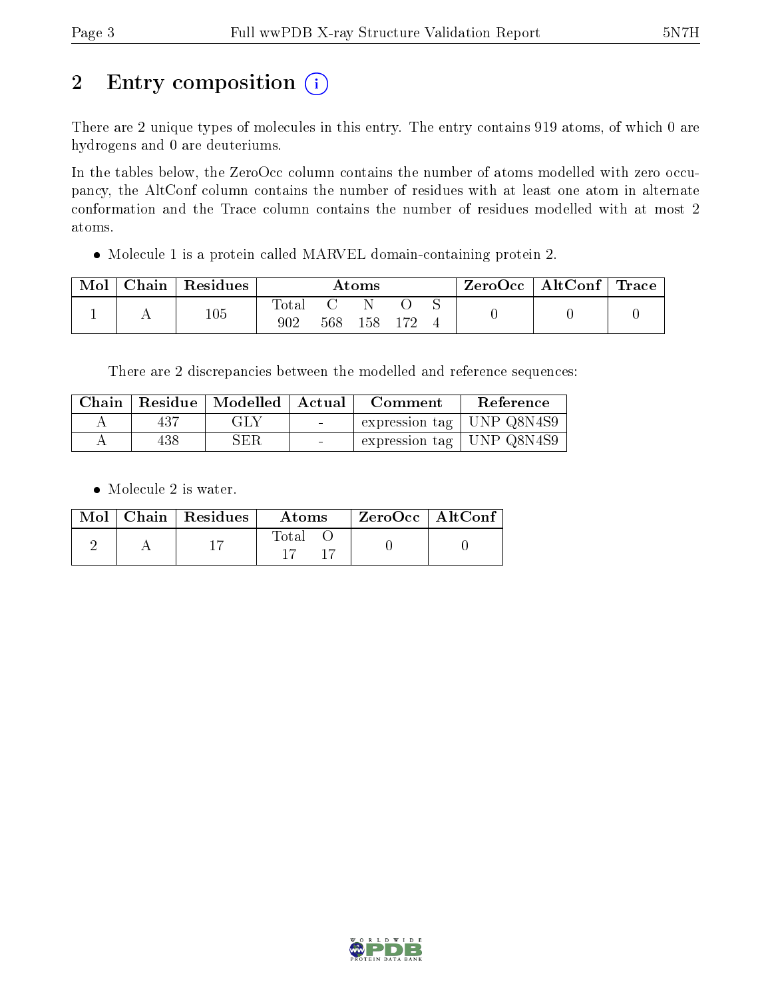# 2 Entry composition  $(i)$

There are 2 unique types of molecules in this entry. The entry contains 919 atoms, of which 0 are hydrogens and 0 are deuteriums.

In the tables below, the ZeroOcc column contains the number of atoms modelled with zero occupancy, the AltConf column contains the number of residues with at least one atom in alternate conformation and the Trace column contains the number of residues modelled with at most 2 atoms.

Molecule 1 is a protein called MARVEL domain-containing protein 2.

| Mol | $Chain   Residues$ | $\rm{Atoms}$ |     |     |  | $\text{ZeroOcc} \mid \text{AltConf} \mid \text{Trace}$ |  |
|-----|--------------------|--------------|-----|-----|--|--------------------------------------------------------|--|
|     | 105                | Fotal<br>902 | 568 | 158 |  |                                                        |  |

There are 2 discrepancies between the modelled and reference sequences:

| Chain | Residue | $\vert$ Modelled $\vert$ Actual |        | Comment                               | Reference |  |
|-------|---------|---------------------------------|--------|---------------------------------------|-----------|--|
|       | 437     | GLY                             | $\sim$ | $\pm$ expression tag $\pm$ UNP Q8N4S9 |           |  |
|       | 438     | ${\rm SER}$                     | $\sim$ | expression tag   UNP Q8N4S9           |           |  |

• Molecule 2 is water.

|  | $Mol$   Chain   Residues | Atoms | ZeroOcc   AltConf |
|--|--------------------------|-------|-------------------|
|  |                          | Total |                   |

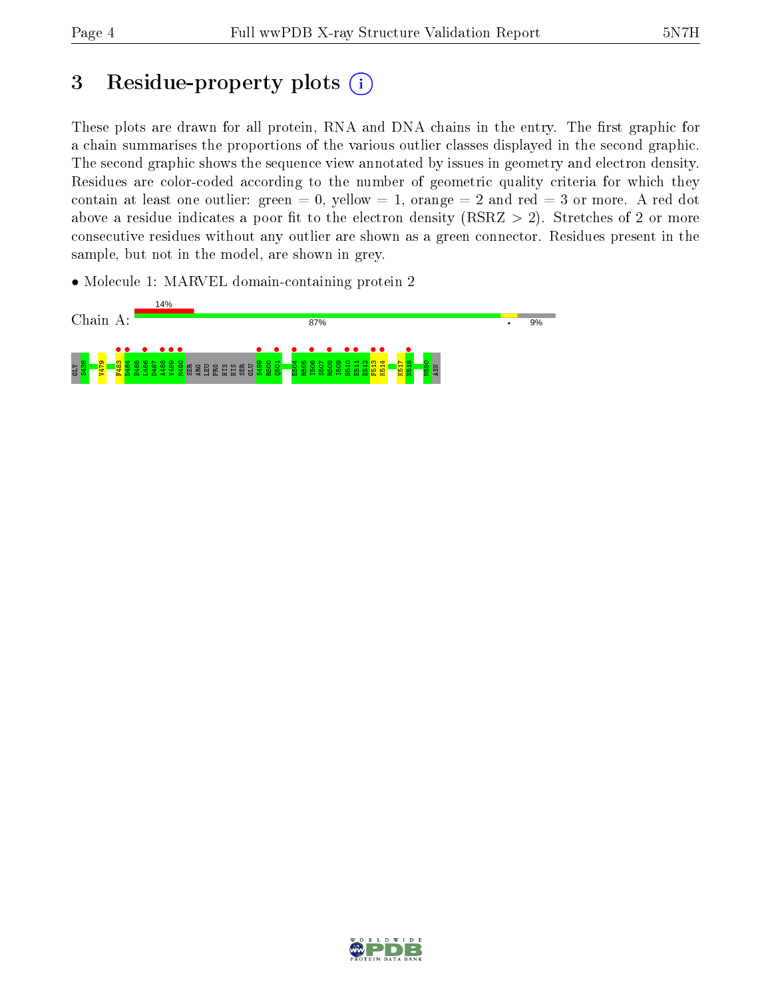# 3 Residue-property plots  $(i)$

These plots are drawn for all protein, RNA and DNA chains in the entry. The first graphic for a chain summarises the proportions of the various outlier classes displayed in the second graphic. The second graphic shows the sequence view annotated by issues in geometry and electron density. Residues are color-coded according to the number of geometric quality criteria for which they contain at least one outlier: green  $= 0$ , yellow  $= 1$ , orange  $= 2$  and red  $= 3$  or more. A red dot above a residue indicates a poor fit to the electron density (RSRZ  $> 2$ ). Stretches of 2 or more consecutive residues without any outlier are shown as a green connector. Residues present in the sample, but not in the model, are shown in grey.

• Molecule 1: MARVEL domain-containing protein 2



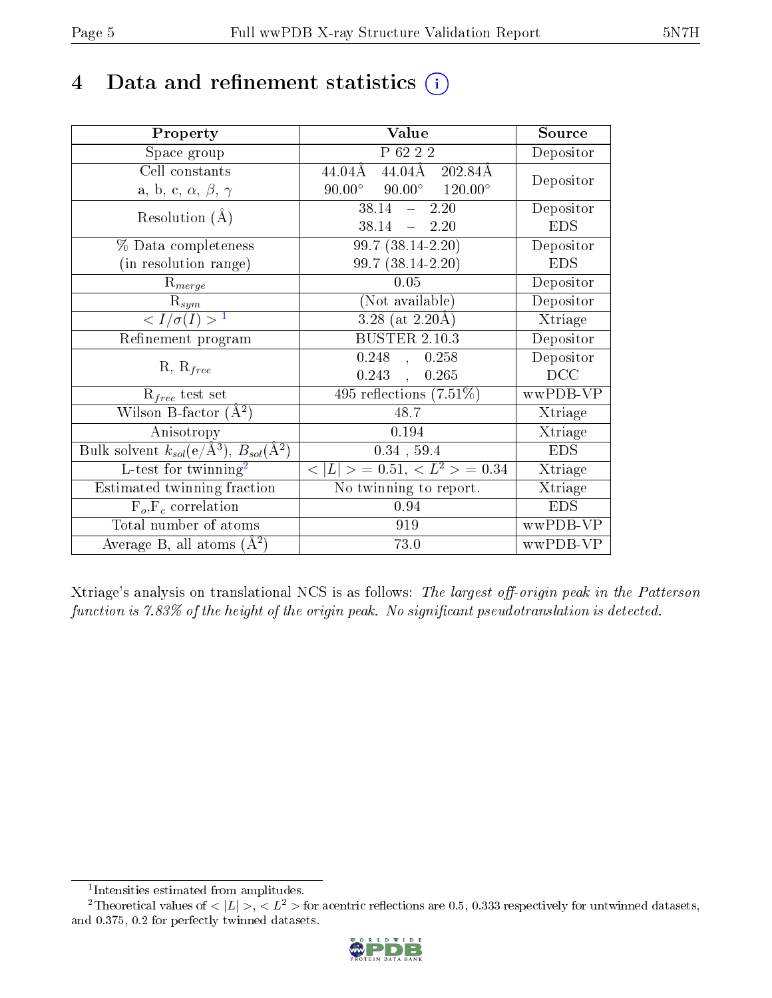# 4 Data and refinement statistics  $(i)$

| Property                                                         | Value                                               | Source     |
|------------------------------------------------------------------|-----------------------------------------------------|------------|
| Space group                                                      | P 62 2 2                                            | Depositor  |
| Cell constants                                                   | $44.04\AA$ 202.84 $\AA$<br>44.04Å                   | Depositor  |
| a, b, c, $\alpha$ , $\beta$ , $\gamma$                           | $90.00^{\circ}$ $120.00^{\circ}$<br>$90.00^{\circ}$ |            |
| Resolution $(A)$                                                 | 38.14<br>$-2.20$                                    | Depositor  |
|                                                                  | 38.14<br>$-2.20$                                    | <b>EDS</b> |
| % Data completeness                                              | $\overline{99.7 (38.14-2.20)}$                      | Depositor  |
| (in resolution range)                                            | 99.7 (38.14-2.20)                                   | <b>EDS</b> |
| $R_{merge}$                                                      | 0.05                                                | Depositor  |
| $\mathrm{R}_{sym}$                                               | (Not available)                                     | Depositor  |
| $\langle I/\sigma(I) \rangle^{-1}$                               | $3.28$ (at 2.20Å)                                   | Xtriage    |
| Refinement program                                               | <b>BUSTER 2.10.3</b>                                | Depositor  |
|                                                                  | $0.248$ , $0.258$                                   | Depositor  |
| $R, R_{free}$                                                    | $0.243$ ,<br>0.265                                  | DCC        |
| $R_{free}$ test set                                              | 495 reflections $(7.51\%)$                          | wwPDB-VP   |
| Wilson B-factor $(A^2)$                                          | 48.7                                                | Xtriage    |
| Anisotropy                                                       | 0.194                                               | Xtriage    |
| Bulk solvent $k_{sol}(\text{e}/\text{A}^3), B_{sol}(\text{A}^2)$ | $0.34$ , 59.4                                       | <b>EDS</b> |
| L-test for $\mathrm{twinning}^2$                                 | $< L >$ = 0.51, $< L2 >$ = 0.34                     | Xtriage    |
| Estimated twinning fraction                                      | No twinning to report.                              | Xtriage    |
| $F_o, F_c$ correlation                                           | 0.94                                                | <b>EDS</b> |
| Total number of atoms                                            | 919                                                 | wwPDB-VP   |
| Average B, all atoms $(A^2)$                                     | 73.0                                                | wwPDB-VP   |

Xtriage's analysis on translational NCS is as follows: The largest off-origin peak in the Patterson function is  $7.83\%$  of the height of the origin peak. No significant pseudotranslation is detected.

<sup>&</sup>lt;sup>2</sup>Theoretical values of  $\langle |L| \rangle$ ,  $\langle L^2 \rangle$  for acentric reflections are 0.5, 0.333 respectively for untwinned datasets, and 0.375, 0.2 for perfectly twinned datasets.



<span id="page-4-1"></span><span id="page-4-0"></span><sup>1</sup> Intensities estimated from amplitudes.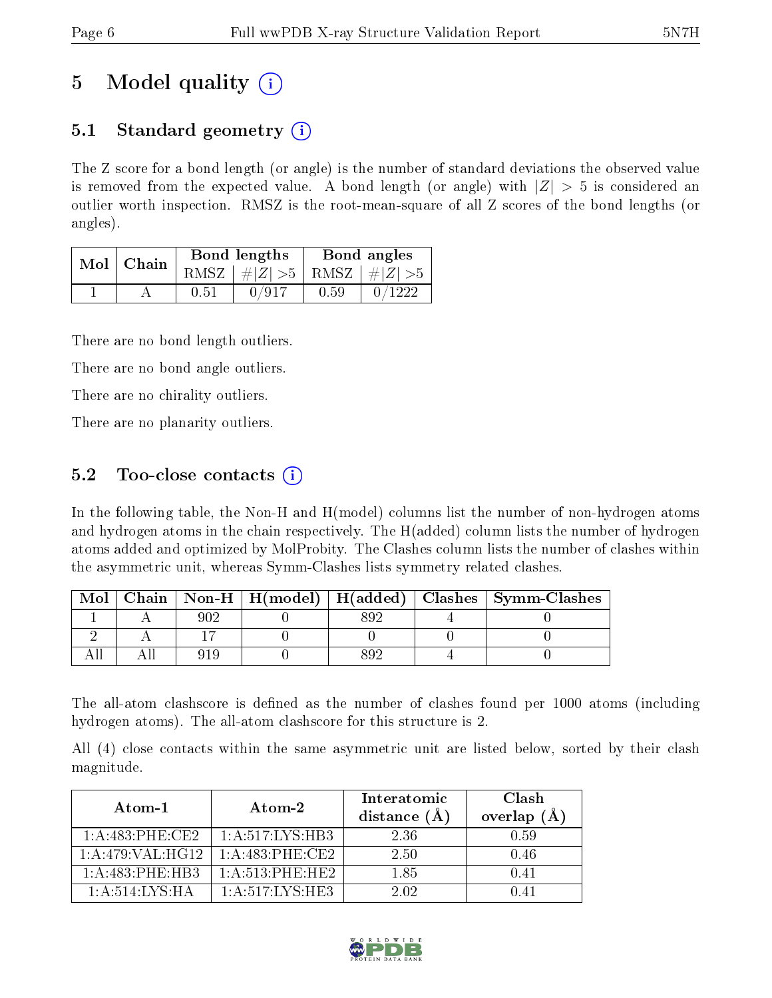# 5 Model quality  $(i)$

### 5.1 Standard geometry  $(i)$

The Z score for a bond length (or angle) is the number of standard deviations the observed value is removed from the expected value. A bond length (or angle) with  $|Z| > 5$  is considered an outlier worth inspection. RMSZ is the root-mean-square of all Z scores of the bond lengths (or angles).

| Mol | Chain |      | Bond lengths                    | Bond angles |        |  |
|-----|-------|------|---------------------------------|-------------|--------|--|
|     |       |      | RMSZ $ #Z  > 5$ RMSZ $ #Z  > 5$ |             |        |  |
|     |       | 0.51 | 0/917                           | 0.59        | 0/1222 |  |

There are no bond length outliers.

There are no bond angle outliers.

There are no chirality outliers.

There are no planarity outliers.

### 5.2 Too-close contacts  $\overline{()}$

In the following table, the Non-H and H(model) columns list the number of non-hydrogen atoms and hydrogen atoms in the chain respectively. The H(added) column lists the number of hydrogen atoms added and optimized by MolProbity. The Clashes column lists the number of clashes within the asymmetric unit, whereas Symm-Clashes lists symmetry related clashes.

| Mol |  |  | Chain   Non-H   H(model)   H(added)   Clashes   Symm-Clashes |
|-----|--|--|--------------------------------------------------------------|
|     |  |  |                                                              |
|     |  |  |                                                              |
|     |  |  |                                                              |

The all-atom clashscore is defined as the number of clashes found per 1000 atoms (including hydrogen atoms). The all-atom clashscore for this structure is 2.

All (4) close contacts within the same asymmetric unit are listed below, sorted by their clash magnitude.

| $Atom-1$              | Atom-2              | Interatomic<br>distance $(\AA)$ | Clash<br>overlap $(A)$ |  |
|-----------------------|---------------------|---------------------------------|------------------------|--|
| $1: A:483:$ PHE:CE2   | 1: A:517: LYS:HB3   | 2.36                            | 0.59                   |  |
| 1:A:479:VAL:H G12     | $1: A:483:$ PHE:CE2 | 2.50                            | 0.46                   |  |
| 1: A:483:PHE:HB3      | 1: A:513: PHE:HE2   | 1.85                            | 0.41                   |  |
| $1:$ A $:514:LYS:H$ A | 1: A:517: LYS: HE3  | 2.02.                           | D 41                   |  |

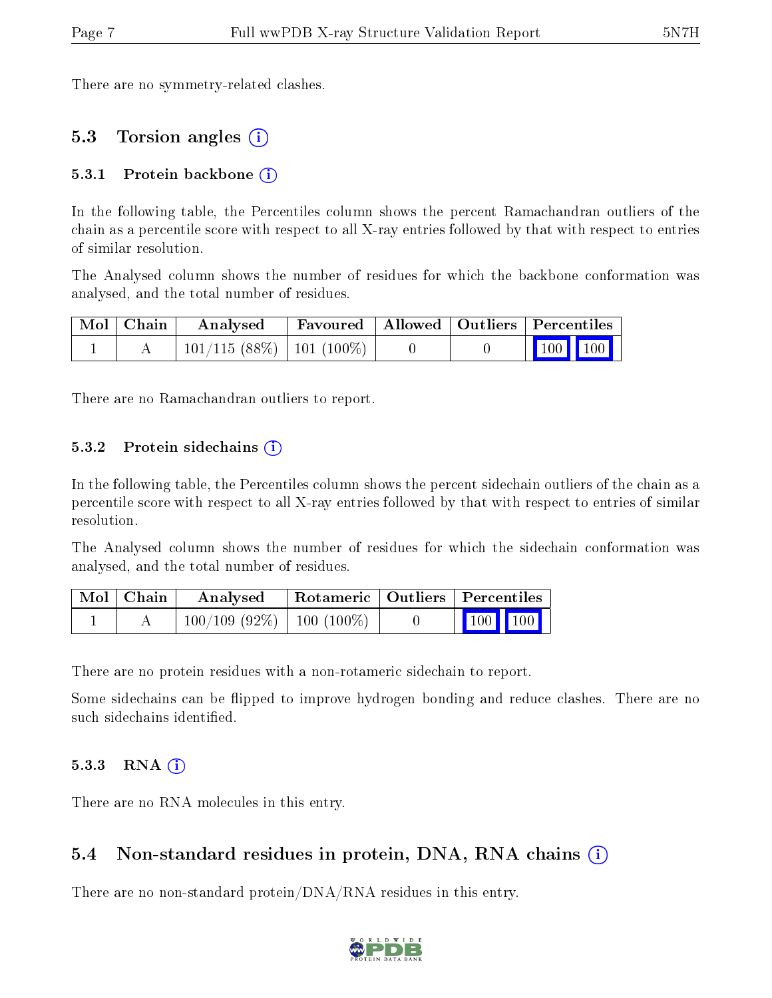There are no symmetry-related clashes.

### 5.3 Torsion angles (i)

#### 5.3.1 Protein backbone  $(i)$

In the following table, the Percentiles column shows the percent Ramachandran outliers of the chain as a percentile score with respect to all X-ray entries followed by that with respect to entries of similar resolution.

The Analysed column shows the number of residues for which the backbone conformation was analysed, and the total number of residues.

| Mol   Chain | Favoured   Allowed   Outliers   Percentiles<br>$\boldsymbol{\mathrm{Analysed}}$ |  |  |                 |  |  |
|-------------|---------------------------------------------------------------------------------|--|--|-----------------|--|--|
|             | $101/115(88\%)$   101 (100\%)                                                   |  |  | $\vert$ 100 100 |  |  |

There are no Ramachandran outliers to report.

#### 5.3.2 Protein sidechains  $(i)$

In the following table, the Percentiles column shows the percent sidechain outliers of the chain as a percentile score with respect to all X-ray entries followed by that with respect to entries of similar resolution.

The Analysed column shows the number of residues for which the sidechain conformation was analysed, and the total number of residues.

| Mol   Chain | Analysed                       | Rotameric   Outliers   Percentiles |                                                            |
|-------------|--------------------------------|------------------------------------|------------------------------------------------------------|
|             | $100/109$ (92\%)   100 (100\%) |                                    | $\begin{array}{ c c c c }\n\hline\n100 & 100\n\end{array}$ |

There are no protein residues with a non-rotameric sidechain to report.

Some sidechains can be flipped to improve hydrogen bonding and reduce clashes. There are no such sidechains identified.

#### 5.3.3 RNA  $(i)$

There are no RNA molecules in this entry.

#### 5.4 Non-standard residues in protein, DNA, RNA chains (i)

There are no non-standard protein/DNA/RNA residues in this entry.

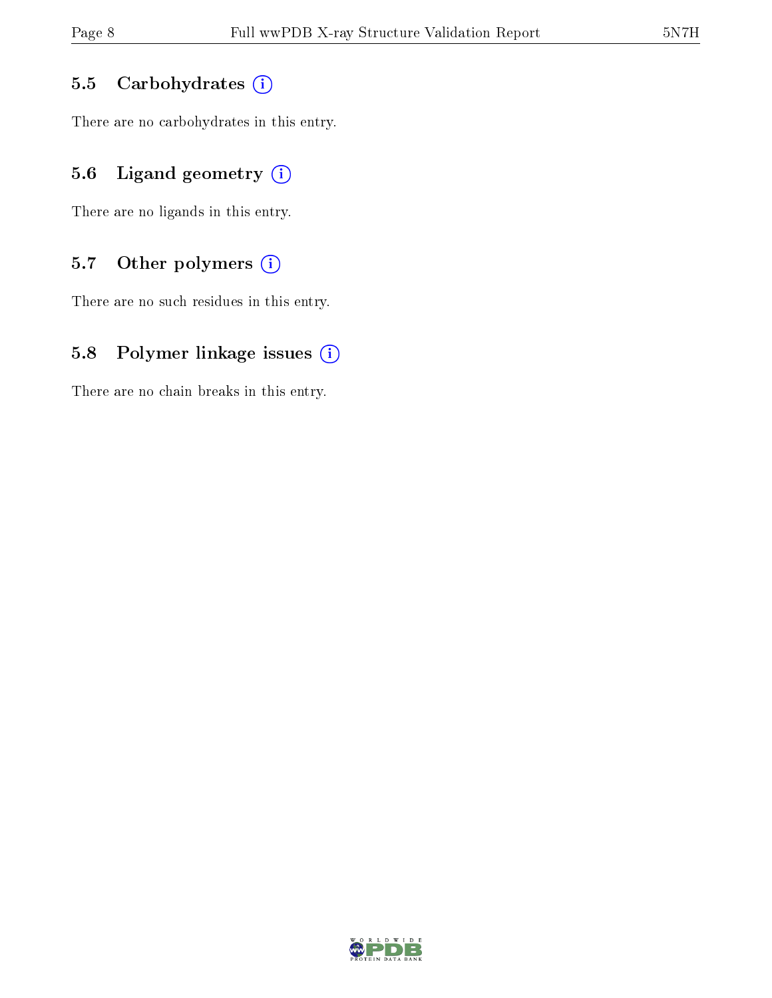#### 5.5 Carbohydrates (i)

There are no carbohydrates in this entry.

### 5.6 Ligand geometry  $(i)$

There are no ligands in this entry.

### 5.7 [O](https://www.wwpdb.org/validation/2017/XrayValidationReportHelp#nonstandard_residues_and_ligands)ther polymers (i)

There are no such residues in this entry.

#### 5.8 Polymer linkage issues  $(i)$

There are no chain breaks in this entry.

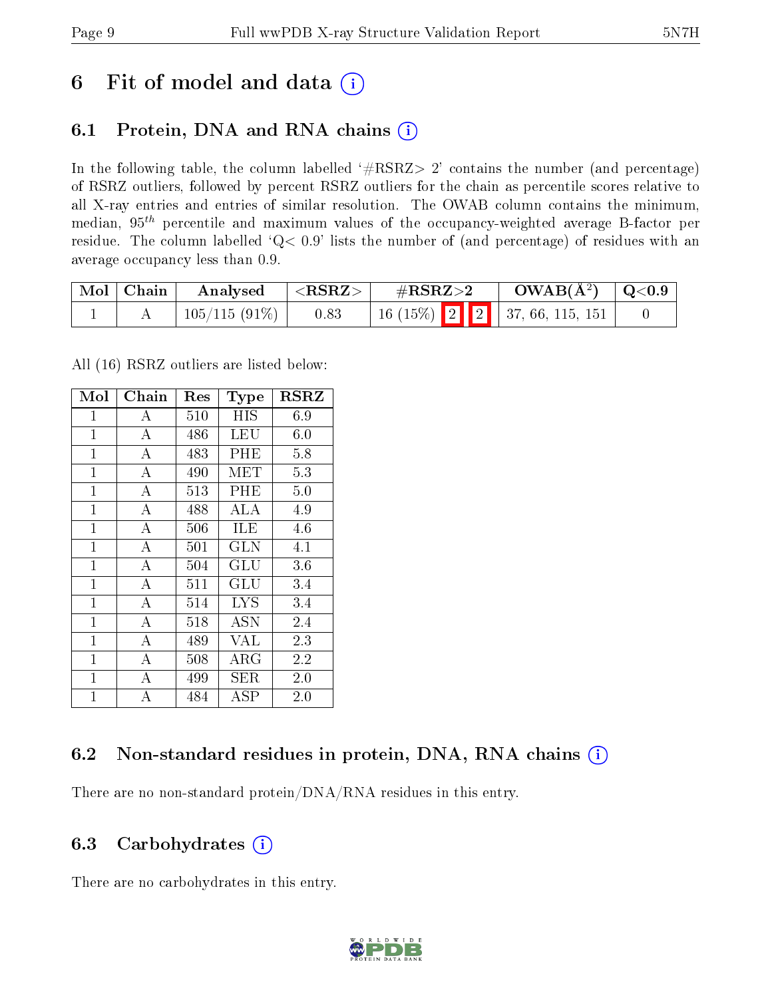## 6 Fit of model and data  $(i)$

### 6.1 Protein, DNA and RNA chains  $(i)$

In the following table, the column labelled  $#RSRZ> 2'$  contains the number (and percentage) of RSRZ outliers, followed by percent RSRZ outliers for the chain as percentile scores relative to all X-ray entries and entries of similar resolution. The OWAB column contains the minimum, median,  $95<sup>th</sup>$  percentile and maximum values of the occupancy-weighted average B-factor per residue. The column labelled ' $Q< 0.9$ ' lists the number of (and percentage) of residues with an average occupancy less than 0.9.

| Mol   Chain | Analysed        | $ \langle \mathrm{RSRZ}\rangle $ | $\rm \#RSRZ{>}2$                    | $\rm{OWAB}(\AA^2)$ $\vert$ Q<0.9 $\vert$ |  |
|-------------|-----------------|----------------------------------|-------------------------------------|------------------------------------------|--|
|             | $105/115(91\%)$ | 0.83                             | 16 (15%)   2   2   37, 66, 115, 151 |                                          |  |

All (16) RSRZ outliers are listed below:

| Mol            | ${\rm Chain}$      | $\operatorname{Res}% \left( \mathcal{N}\right) \equiv\operatorname{Res}(\mathcal{N}_{0})\left( \mathcal{N}_{0}\right) ^{2}$ | <b>Type</b>  | $_{\rm RSRZ}$ |
|----------------|--------------------|-----------------------------------------------------------------------------------------------------------------------------|--------------|---------------|
| $\mathbf 1$    | A                  | 510                                                                                                                         | HIS          | 6.9           |
| $\mathbf{1}$   | $\boldsymbol{A}$   | 486                                                                                                                         | LEU          | 6.0           |
| 1              | $\bf{A}$           | 483                                                                                                                         | PHE          | 5.8           |
| $\mathbf{1}$   | $\bf{A}$           | 490                                                                                                                         | MET          | 5.3           |
| $\mathbf{1}$   | $\overline{\rm A}$ | 513                                                                                                                         | PHE          | 5.0           |
| $\mathbf{1}$   | $\overline{A}$     | 488                                                                                                                         | ALA          | 4.9           |
| $\mathbf{1}$   | $\overline{A}$     | 506                                                                                                                         | ILE          | 4.6           |
| $\mathbf{1}$   | $\bf{A}$           | 501                                                                                                                         | GLN          | 4.1           |
| $\mathbf{1}$   | $\bf{A}$           | 504                                                                                                                         | GLU          | 3.6           |
| $\mathbf{1}$   | $\overline{\rm A}$ | 511                                                                                                                         | GLU          | 3.4           |
| $\mathbf{1}$   | $\overline{A}$     | 514                                                                                                                         | <b>LYS</b>   | 3.4           |
| $\mathbf{1}$   | А                  | 518                                                                                                                         | ASN          | 2.4           |
| $\mathbf 1$    | $\boldsymbol{A}$   | 489                                                                                                                         | VAL          | 2.3           |
| 1              | $\bf{A}$           | 508                                                                                                                         | $\rm{ARG}$   | 2.2           |
| $\mathbf{1}$   | $\bf{A}$           | 499                                                                                                                         | SER          | 2.0           |
| $\overline{1}$ | $\overline{A}$     | 484                                                                                                                         | $_{\rm ASP}$ | 2.0           |

### 6.2 Non-standard residues in protein, DNA, RNA chains  $(i)$

There are no non-standard protein/DNA/RNA residues in this entry.

#### 6.3 Carbohydrates (i)

There are no carbohydrates in this entry.